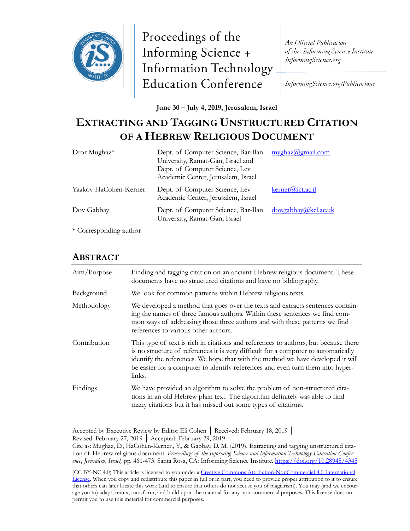

Proceedings of the Informing Science + **Information Technology Education Conference** 

An Official Publication of the Informing Science Institute InformingScience.org

InformingScience.org/Publications

**June 30 – July 4, 2019, Jerusalem, Israel**

# **EXTRACTING AND TAGGING UNSTRUCTURED CITATION OF A HEBREW RELIGIOUS DOCUMENT**

| Dror Mughaz*                                | Dept. of Computer Science, Bar-Ilan<br>University, Ramat-Gan, Israel and<br>Dept. of Computer Science, Lev<br>Academic Center, Jerusalem, Israel | myghaz@gmail.com                       |
|---------------------------------------------|--------------------------------------------------------------------------------------------------------------------------------------------------|----------------------------------------|
| Yaakov HaCohen-Kerner                       | Dept. of Computer Science, Lev<br>Academic Center, Jerusalem, Israel                                                                             | $\text{kerner}(\widehat{a})$ ict.ac.il |
| Dov Gabbay                                  | Dept. of Computer Science, Bar-Ilan<br>University, Ramat-Gan, Israel                                                                             | dov.gabbay@kcl.ac.uk                   |
| $\sqrt{2}$<br>$\mathbf{1}^*$ $\mathbf{1}^*$ |                                                                                                                                                  |                                        |

\* Corresponding author

## **ABSTRACT**

| Aim/Purpose  | Finding and tagging citation on an ancient Hebrew religious document. These<br>documents have no structured citations and have no bibliography.                                                                                                                                                                                                          |
|--------------|----------------------------------------------------------------------------------------------------------------------------------------------------------------------------------------------------------------------------------------------------------------------------------------------------------------------------------------------------------|
| Background   | We look for common patterns within Hebrew religious texts.                                                                                                                                                                                                                                                                                               |
| Methodology  | We developed a method that goes over the texts and extracts sentences contain-<br>ing the names of three famous authors. Within these sentences we find com-<br>mon ways of addressing those three authors and with these patterns we find<br>references to various other authors.                                                                       |
| Contribution | This type of text is rich in citations and references to authors, but because there<br>is no structure of references it is very difficult for a computer to automatically<br>identify the references. We hope that with the method we have developed it will<br>be easier for a computer to identify references and even turn them into hyper-<br>links. |
| Findings     | We have provided an algorithm to solve the problem of non-structured cita-<br>tions in an old Hebrew plain text. The algorithm definitely was able to find<br>many citations but it has missed out some types of citations.                                                                                                                              |

Accepted by Executive Review by Editor Eli Cohen │ Received: February 18, 2019 │ Revised: February 27, 2019 │ Accepted: February 29, 2019.

Cite as: Mughaz, D., HaCohen-Kerner., Y., & Gabbay, D. M. (2019). Extracting and tagging unstructured citation of Hebrew religious document. *Proceedings of the Informing Science and Information Technology Education Conference*, *Jerusalem, Israel,* pp. 461-473. Santa Rosa, CA: Informing Science Institute.<https://doi.org/10.28945/4345>

(CC BY-NC 4.0) This article is licensed to you under a Creative Commons Attribution-[NonCommercial 4.0 International](https://creativecommons.org/licenses/by-nc/4.0/)  [License](https://creativecommons.org/licenses/by-nc/4.0/). When you copy and redistribute this paper in full or in part, you need to provide proper attribution to it to ensure that others can later locate this work (and to ensure that others do not accuse you of plagiarism). You may (and we encourage you to) adapt, remix, transform, and build upon the material for any non-commercial purposes. This license does not permit you to use this material for commercial purposes.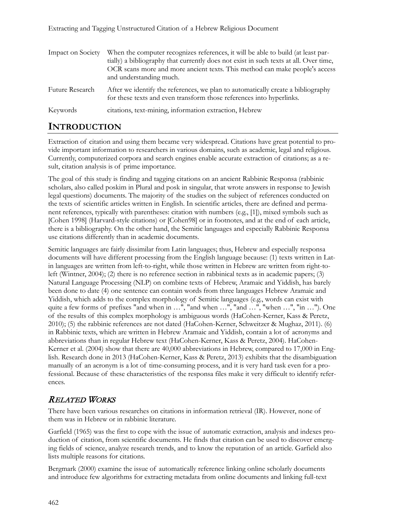| Impact on Society | When the computer recognizes references, it will be able to build (at least par-<br>tially) a bibliography that currently does not exist in such texts at all. Over time,<br>OCR scans more and more ancient texts. This method can make people's access<br>and understanding much. |
|-------------------|-------------------------------------------------------------------------------------------------------------------------------------------------------------------------------------------------------------------------------------------------------------------------------------|
| Future Research   | After we identify the references, we plan to automatically create a bibliography<br>for these texts and even transform those references into hyperlinks.                                                                                                                            |
| Keywords          | citations, text-mining, information extraction, Hebrew                                                                                                                                                                                                                              |

## **INTRODUCTION**

Extraction of citation and using them became very widespread. Citations have great potential to provide important information to researchers in various domains, such as academic, legal and religious. Currently, computerized corpora and search engines enable accurate extraction of citations; as a result, citation analysis is of prime importance.

The goal of this study is finding and tagging citations on an ancient Rabbinic Responsa (rabbinic scholars, also called poskim in Plural and posk in singular, that wrote answers in response to Jewish legal questions) documents. The majority of the studies on the subject of references conducted on the texts of scientific articles written in English. In scientific articles, there are defined and permanent references, typically with parentheses: citation with numbers (e.g., [1]), mixed symbols such as [Cohen 1998] (Harvard-style citations) or [Cohen98] or in footnotes, and at the end of each article, there is a bibliography. On the other hand, the Semitic languages and especially Rabbinic Responsa use citations differently than in academic documents.

Semitic languages are fairly dissimilar from Latin languages; thus, Hebrew and especially responsa documents will have different processing from the English language because: (1) texts written in Latin languages are written from left-to-right, while those written in Hebrew are written from right-toleft (Wintner, 2004); (2) there is no reference section in rabbinical texts as in academic papers; (3) Natural Language Processing (NLP) on combine texts of Hebrew, Aramaic and Yiddish, has barely been done to date (4) one sentence can contain words from three languages Hebrew Aramaic and Yiddish, which adds to the complex morphology of Semitic languages (e.g., words can exist with quite a few forms of prefixes "and when in ...", "and when ...", "and ...", "when ...", "in ..."). One of the results of this complex morphology is ambiguous words (HaCohen-Kerner, Kass & Peretz, 2010); (5) the rabbinic references are not dated (HaCohen-Kerner, Schweitzer & Mughaz, 2011). (6) in Rabbinic texts, which are written in Hebrew Aramaic and Yiddish, contain a lot of acronyms and abbreviations than in regular Hebrew text (HaCohen-Kerner, Kass & Peretz, 2004). HaCohen-Kerner et al. (2004) show that there are 40,000 abbreviations in Hebrew, compared to 17,000 in English. Research done in 2013 (HaCohen-Kerner, Kass & Peretz, 2013) exhibits that the disambiguation manually of an acronym is a lot of time-consuming process, and it is very hard task even for a professional. Because of these characteristics of the responsa files make it very difficult to identify references.

### RELATED WORKS

There have been various researches on citations in information retrieval (IR). However, none of them was in Hebrew or in rabbinic literature.

Garfield (1965) was the first to cope with the issue of automatic extraction, analysis and indexes production of citation, from scientific documents. He finds that citation can be used to discover emerging fields of science, analyze research trends, and to know the reputation of an article. Garfield also lists multiple reasons for citations.

Bergmark (2000) examine the issue of automatically reference linking online scholarly documents and introduce few algorithms for extracting metadata from online documents and linking full-text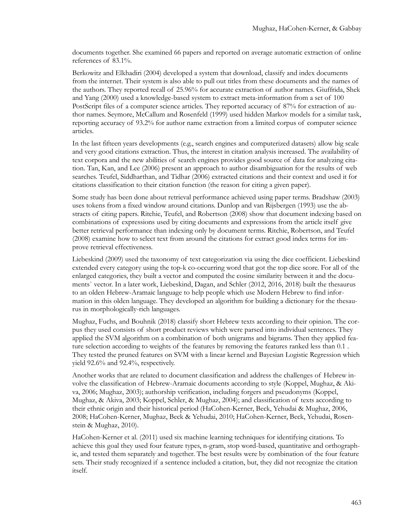documents together. She examined 66 papers and reported on average automatic extraction of online references of 83.1%.

Berkowitz and Elkhadiri (2004) developed a system that download, classify and index documents from the internet. Their system is also able to pull out titles from these documents and the names of the authors. They reported recall of 25.96% for accurate extraction of author names. Giuffrida, Shek and Yang (2000) used a knowledge-based system to extract meta-information from a set of 100 PostScript files of a computer science articles. They reported accuracy of 87% for extraction of author names. Seymore, McCallum and Rosenfeld (1999) used hidden Markov models for a similar task, reporting accuracy of 93.2% for author name extraction from a limited corpus of computer science articles.

In the last fifteen years developments (e.g., search engines and computerized datasets) allow big scale and very good citations extraction. Thus, the interest in citation analysis increased. The availability of text corpora and the new abilities of search engines provides good source of data for analyzing citation. Tan, Kan, and Lee (2006) present an approach to author disambiguation for the results of web searches. Teufel, Siddharthan, and Tidhar (2006) extracted citations and their context and used it for citations classification to their citation function (the reason for citing a given paper).

Some study has been done about retrieval performance achieved using paper terms. Bradshaw (2003) uses tokens from a fixed window around citations. Dunlop and van Rijsbergen (1993) use the abstracts of citing papers. Ritchie, Teufel, and Robertson (2008) show that document indexing based on combinations of expressions used by citing documents and expressions from the article itself give better retrieval performance than indexing only by document terms. Ritchie, Robertson, and Teufel (2008) examine how to select text from around the citations for extract good index terms for improve retrieval effectiveness.

Liebeskind (2009) used the taxonomy of text categorization via using the dice coefficient. Liebeskind extended every category using the top-k co-occurring word that got the top dice score. For all of the enlarged categories, they built a vector and computed the cosine similarity between it and the documents` vector. In a later work, Liebeskind, Dagan, and Schler (2012, 2016, 2018) built the thesaurus to an olden Hebrew-Aramaic language to help people which use Modern Hebrew to find information in this olden language. They developed an algorithm for building a dictionary for the thesaurus in morphologically-rich languages.

Mughaz, Fuchs, and Bouhnik (2018) classify short Hebrew texts according to their opinion. The corpus they used consists of short product reviews which were parsed into individual sentences. They applied the SVM algorithm on a combination of both unigrams and bigrams. Then they applied feature selection according to weights of the features by removing the features ranked less than 0.1 . They tested the pruned features on SVM with a linear kernel and Bayesian Logistic Regression which yield 92.6% and 92.4%, respectively.

Another works that are related to document classification and address the challenges of Hebrew involve the classification of Hebrew-Aramaic documents according to style (Koppel, Mughaz, & Akiva, 2006; Mughaz, 2003); authorship verification, including forgers and pseudonyms (Koppel, Mughaz, & Akiva, 2003; Koppel, Schler, & Mughaz, 2004); and classification of texts according to their ethnic origin and their historical period (HaCohen-Kerner, Beck, Yehudai & Mughaz, 2006, 2008; HaCohen-Kerner, Mughaz, Beck & Yehudai, 2010; HaCohen-Kerner, Beck, Yehudai, Rosenstein & Mughaz, 2010).

HaCohen-Kerner et al. (2011) used six machine learning techniques for identifying citations. To achieve this goal they used four feature types, n-gram, stop word-based, quantitative and orthographic, and tested them separately and together. The best results were by combination of the four feature sets. Their study recognized if a sentence included a citation, but, they did not recognize the citation itself.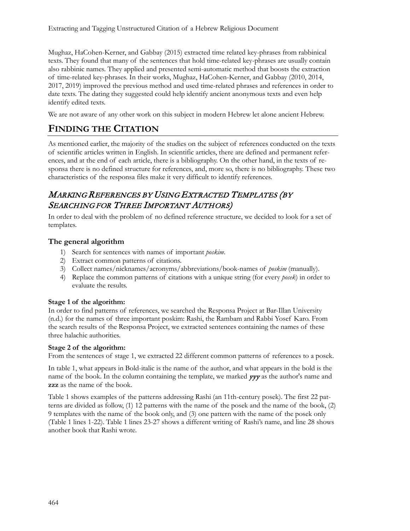Mughaz, HaCohen-Kerner, and Gabbay (2015) extracted time related key-phrases from rabbinical texts. They found that many of the sentences that hold time-related key-phrases are usually contain also rabbinic names. They applied and presented semi-automatic method that boosts the extraction of time-related key-phrases. In their works, Mughaz, HaCohen-Kerner, and Gabbay (2010, 2014, 2017, 2019) improved the previous method and used time-related phrases and references in order to date texts. The dating they suggested could help identify ancient anonymous texts and even help identify edited texts.

We are not aware of any other work on this subject in modern Hebrew let alone ancient Hebrew.

## **FINDING THE CITATION**

As mentioned earlier, the majority of the studies on the subject of references conducted on the texts of scientific articles written in English. In scientific articles, there are defined and permanent references, and at the end of each article, there is a bibliography. On the other hand, in the texts of responsa there is no defined structure for references, and, more so, there is no bibliography. These two characteristics of the responsa files make it very difficult to identify references.

## MARKING REFERENCES BY USING <sup>E</sup>XTRACTED TEMPLATES (BY SEARCHING FOR THREE IMPORTANT AUTHORS)

In order to deal with the problem of no defined reference structure, we decided to look for a set of templates.

### **The general algorithm**

- 1) Search for sentences with names of important *poskim*.
- 2) Extract common patterns of citations.
- 3) Collect names/nicknames/acronyms/abbreviations/book-names of *poskim* (manually).
- 4) Replace the common patterns of citations with a unique string (for every *posek*) in order to evaluate the results.

### **Stage 1 of the algorithm:**

In order to find patterns of references, we searched the Responsa Project at Bar-Illan University (n.d.) for the names of three important poskim: Rashi, the Rambam and Rabbi Yosef Karo. From the search results of the Responsa Project, we extracted sentences containing the names of these three halachic authorities.

### **Stage 2 of the algorithm:**

From the sentences of stage 1, we extracted 22 different common patterns of references to a posek.

In table 1, what appears in Bold-italic is the name of the author, and what appears in the bold is the name of the book. In the column containing the template, we marked  $\gamma \gamma$  as the author's name and **zzz** as the name of the book.

Table 1 shows examples of the patterns addressing Rashi (an 11th-century posek). The first 22 patterns are divided as follow, (1) 12 patterns with the name of the posek and the name of the book, (2) 9 templates with the name of the book only, and (3) one pattern with the name of the posek only (Table 1 lines 1-22). Table 1 lines 23-27 shows a different writing of Rashi's name, and line 28 shows another book that Rashi wrote.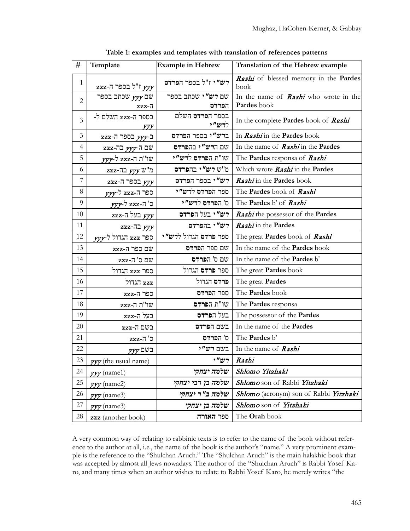| #              | Template                      | <b>Example in Hebrew</b>         | Translation of the Hebrew example                           |
|----------------|-------------------------------|----------------------------------|-------------------------------------------------------------|
| 1              | $zzz$ ז"ל בספר ה- $yyy$       | רש"י ז"ל בספר הפרדס              | Rashi of blessed memory in the Pardes<br>book               |
| $\overline{2}$ | שם $yyy$ שכתב בספר<br>$zzz-7$ | שם רש"י שכתב בספר<br>הפרדס       | In the name of <b>Rashi</b> who wrote in the<br>Pardes book |
| 3              | בספר ה-zzz השלם ל-<br>ууу     | בספר ה <b>פרדס</b> השלם<br>לרש"י | In the complete Pardes book of Rashi                        |
| 3              | ב-yyy בספר ה-zzz              | ברש"י בספר הפרדס                 | In Rashi in the Pardes book                                 |
| 4              | שם ה-yyy בה-zzz               | שם הרש"י בהפרדס                  | In the name of <b>Rashi</b> in the <b>Pardes</b>            |
| 5              | שו"ת ה-zzz ל- <i>yyy</i>      | שו"ת הפרדס לרש"י                 | The Pardes responsa of Rashi                                |
| 6              | מ"ש yyy בה-zzz                | מ"ש רש"י בהפרדס                  | Which wrote Rashi in the Pardes                             |
| 7              | $zzz$ -7 בספר ה               | יש"י בספר הפרדס                  | Rashi in the Pardes book                                    |
| 8              | ספר ה-zzz ל-yyy               | ספר הפרדס לרש"י                  | The Pardes book of Rashi                                    |
| 9              | ס' ה-zzz ל- <i>yyy</i>        | ס' הפרדס לרש"י                   | The Pardes b' of Rashi                                      |
| 10             | בעל ה-zzz $\mathbf{r}$        | רש"י בעל הפרדס                   | Rashi the possessor of the Pardes                           |
| 11             | zzz-ת בה                      | רש"י בהפרדס                      | Rashi in the Pardes                                         |
| 12             | ספר zzz הגדול ל-yyy           | ספר פרדס הגדול לרש"י             | The great Pardes book of Rashi                              |
| 13             | שם ספר ה-zzz                  | שם ספר הפרדס                     | In the name of the <b>Pardes</b> book                       |
| 14             | שם ס' $\overline{a}$ ר-שם     | שם ס' הפרדס                      | In the name of the Pardes b'                                |
| 15             | ספר zzz הגדול                 | ספר <b>פרדס</b> הגדול            | The great <b>Pardes</b> book                                |
| 16             | zzz הגדול                     | פרדס הגדול                       | The great Pardes                                            |
| 17             | ספר ה-zzz                     | ספר הפרדס                        | The Pardes book                                             |
| 18             | $zzz$ -ת ה- $z$               | שו"ת הפרדס                       | The Pardes responsa                                         |
| 19             | בעל ה-zzz                     | בעל הפרדס                        | The possessor of the Pardes                                 |
| 20             | $zzz$ -ת-                     | בשם הפרדס                        | In the name of the Pardes                                   |
| 21             | $zzz$ ה-                      | ס' הפרדס                         | The Pardes b'                                               |
| 22             | $yyy$ בשם                     | בשם רש"י                         | In the name of Rashi                                        |
| 23             | yyy (the usual name)          |                                  | $\vert$ , $''$ יש $\vert$ Rashi                             |
| 24             | $\gamma \gamma$ (name1)       | שלמה יצחקי                       | Shlomo Yitzhaki                                             |
| 25             | $\gamma \gamma$ (name2)       | שלמה בן רבי יצחקי                | Shlomo son of Rabbi Yitzhaki                                |
| 26             | $\gamma \gamma$ (name3)       | שלמה ב"ר יצחקי                   | Shlomo (acronym) son of Rabbi Yitzhaki                      |
| 27             | $\gamma \gamma$ (name3)       | שלמה בן יצחקי                    | Shlomo son of Yitzhaki                                      |
| 28             | zzz (another book)            | ספר האורה                        | The Orah book                                               |

**Table 1: examples and templates with translation of references patterns**

A very common way of relating to rabbinic texts is to refer to the name of the book without reference to the author at all, i.e., the name of the book is the author's "name." A very prominent example is the reference to the "Shulchan Aruch." The "Shulchan Aruch" is the main halakhic book that was accepted by almost all Jews nowadays. The author of the "Shulchan Aruch" is Rabbi Yosef Karo, and many times when an author wishes to relate to Rabbi Yosef Karo, he merely writes "the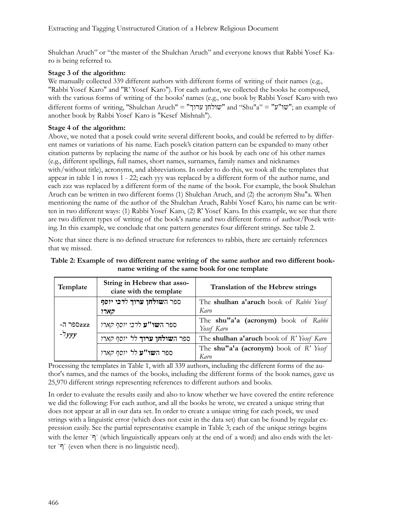Shulchan Aruch" or "the master of the Shulchan Aruch" and everyone knows that Rabbi Yosef Karo is being referred to.

### **Stage 3 of the algorithm:**

We manually collected 339 different authors with different forms of writing of their names (e.g., "Rabbi Yosef Karo" and "R' Yosef Karo"). For each author, we collected the books he composed, with the various forms of writing of the books' names (e.g., one book by Rabbi Yosef Karo with two different forms of writing, "Shulchan Aruch" = "שולחן ערוך" and "Shu"a" = "שו"ע"; an example of another book by Rabbi Yosef Karo is "Kesef Mishnah").

### **Stage 4 of the algorithm:**

Above, we noted that a posek could write several different books, and could be referred to by different names or variations of his name. Each posek's citation pattern can be expanded to many other citation patterns by replacing the name of the author or his book by each one of his other names (e.g., different spellings, full names, short names, surnames, family names and nicknames with/without title), acronyms, and abbreviations. In order to do this, we took all the templates that appear in table 1 in rows 1 - 22; each yyy was replaced by a different form of the author name, and each zzz was replaced by a different form of the name of the book. For example, the book Shulchan Aruch can be written in two different forms (1) Shulchan Aruch, and (2) the acronym Shu"a. When mentioning the name of the author of the Shulchan Aruch, Rabbi Yosef Karo, his name can be written in two different ways: (1) Rabbi Yosef Karo, (2) R' Yosef Karo. In this example, we see that there are two different types of writing of the book's name and two different forms of author/Posek writing. In this example, we conclude that one pattern generates four different strings. See table 2.

Note that since there is no defined structure for references to rabbis, there are certainly references that we missed.

| Table 2: Example of two different name writing of the same author and two different book- |                                                |  |
|-------------------------------------------------------------------------------------------|------------------------------------------------|--|
|                                                                                           | name writing of the same book for one template |  |

| Template  | String in Hebrew that asso-<br>ciate with the template | Translation of the Hebrew strings                 |  |
|-----------|--------------------------------------------------------|---------------------------------------------------|--|
|           | ספר השולחן ערוך ל <i>רבי יוסף</i>                      | The shulhan a'aruch book of Rabbi Yosef           |  |
|           | קארו                                                   | Karo                                              |  |
| -zzzספר ה | ספר ה <b>שו"ע</b> לרבי יוסף קארו                       | The shu"a'a (acronym) book of Rabbi<br>Yosef Karo |  |
| $-7$ yyy  | ספר ה <b>שולחן ערוך</b> לל י <i>וסף קארו</i>           | The shulhan a'aruch book of R' Yosef Karo         |  |
|           | ספר ה <b>שו"ע</b> לל יוסף קארו                         | The shu"a'a (acronym) book of R' Yosef<br>Karo    |  |

Processing the templates in Table 1, with all 339 authors, including the different forms of the author's names, and the names of the books, including the different forms of the book names, gave us 25,970 different strings representing references to different authors and books.

In order to evaluate the results easily and also to know whether we have covered the entire reference we did the following: For each author, and all the books he wrote, we created a unique string that does not appear at all in our data set. In order to create a unique string for each posek, we used strings with a linguistic error (which does not exist in the data set) that can be found by regular expression easily. See the partial representative example in Table 3; each of the unique strings begins with the letter `ף' (which linguistically appears only at the end of a word) and also ends with the letter  $\infty$ ) (even when there is no linguistic need).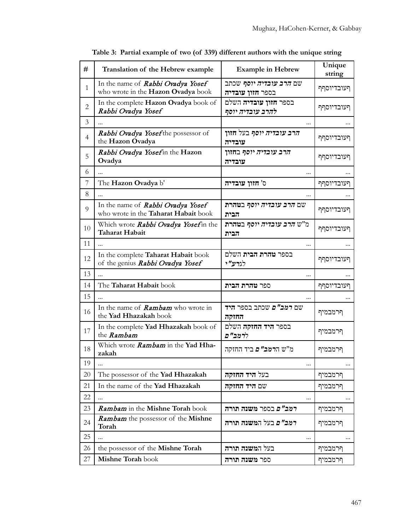| #              | Translation of the Hebrew example                                         | <b>Example in Hebrew</b>                           | Unique<br>string |
|----------------|---------------------------------------------------------------------------|----------------------------------------------------|------------------|
| $\mathbf{1}$   | In the name of Rabbi Ovadya Yosef<br>who wrote in the Hazon Ovadya book   | שם <i>הרב עובדיה יוסף</i> שכתב<br>בספר חזון עובדיה | ףעובדיוסףף       |
| $\overline{c}$ | In the complete Hazon Ovadya book of<br>Rabbi Ovadya Yosef                | בספר <b>חזון עובדיה</b> השלם<br>להרב עובדיה יוסף   | ףעובדיוסףף       |
| 3              |                                                                           |                                                    |                  |
| $\overline{4}$ | Rabbi Ovadya Yosef the possessor of<br>the Hazon Ovadya                   | <i>הרב עובדיה יוסף</i> בעל חזון<br>עובדיה          | ףעובדיוסףף       |
| 5              | Rabbi Ovadya Yosefin the Hazon<br>Ovadya                                  | <i>הרב עובדיה יוסף</i> בחזון<br>עובדיה             | ףעובדיוסףף       |
| 6              | $\ddotsc$                                                                 | $\cdots$                                           |                  |
| 7              | The Hazon Ovadya b'                                                       | ס' חזון עובדיה                                     | ףעובדיוסףף       |
| 8              |                                                                           |                                                    |                  |
| 9              | In the name of Rabbi Ovadya Yosef<br>who wrote in the Taharat Habait book | שם <i>הרב עובדיה יוסף</i> ב <b>טהרת</b><br>הבית    | ףעובדיוסףף       |
| 10             | Which wrote Rabbi Ovadya Yosefin the<br>Taharat Habait                    | מ"ש <i>הרב עובדיה יוסף</i> ב <b>טהרת</b><br>הבית   | ףעובדיוסףף       |
| 11             | $\ddotsc$                                                                 |                                                    |                  |
| 12             | In the complete Taharat Habait book<br>of the genius Rabbi Ovadya Yosef   | בספר <b>טהרת הבית</b> השלם<br>לגרע"י               | ףעובדיוסףף       |
| 13             | $\sim$                                                                    |                                                    |                  |
| 14             | The Taharat Habait book                                                   | ספר <b>טהרת הבית</b>                               | ףעובדיוסףף       |
| 15             |                                                                           |                                                    |                  |
| 16             | In the name of <b>Rambam</b> who wrote in<br>the Yad Hhazakah book        | שם <i>רמב"ם</i> שכתב בספר <del>היד</del><br>החוקה  | ףרמבמיף          |
| 17             | In the complete Yad Hhazakah book of<br>the Rambam                        | בספר <b>היד החזקה</b> השלם<br>לרמב"ם               | ףרמבמיף          |
| 18             | Which wrote Rambam in the Yad Hha-<br>zakah                               | מ"ש ה <b>רמב" <i>ם</i></b> ביד החזקה               | ףרמבמיף          |
| 19             | $\ddotsc$                                                                 | $\ddotsc$                                          |                  |
| 20             | The possessor of the Yad Hhazakah                                         | בעל <b>היד החזקה</b>                               | ףרמבמיף          |
| 21             | In the name of the Yad Hhazakah                                           | שם היד החזקה                                       | ףרמבמיף          |
| 22             |                                                                           | $\cdots$                                           | $\cdots$         |
| 23             | Rambam in the Mishne Torah book                                           | <i>רמב"ם</i> בספר משנה תורה                        | ףרמבמיף          |
| 24             | Rambam the possessor of the Mishne<br>Torah                               | ר <i>מב"ם</i> בעל המשנה תורה                       | ףרמבמיף          |
| 25             | $\cdots$                                                                  | $\cdots$                                           | $\cdots$         |
| 26             | the possessor of the Mishne Torah                                         | בעל המשנה תורה                                     | ףרמבמיף          |
| 27             | Mishne Torah book                                                         | ספר משנה תורה                                      | ףרמבמיף          |

**Table 3: Partial example of two (of 339) different authors with the unique string**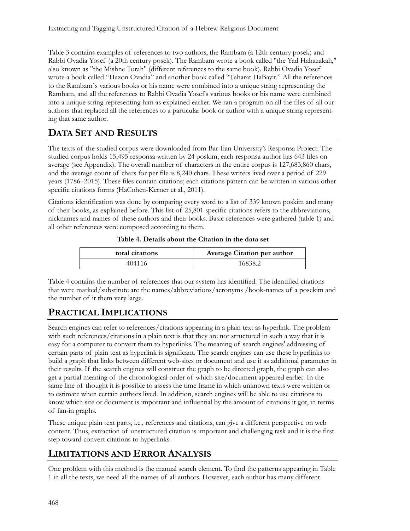Table 3 contains examples of references to two authors, the Rambam (a 12th century posek) and Rabbi Ovadia Yosef (a 20th century posek). The Rambam wrote a book called "the Yad Hahazakah," also known as "the Mishne Torah" (different references to the same book). Rabbi Ovadia Yosef wrote a book called "Hazon Ovadia" and another book called "Taharat HaBayit." All the references to the Rambam`s various books or his name were combined into a unique string representing the Rambam, and all the references to Rabbi Ovadia Yosef's various books or his name were combined into a unique string representing him as explained earlier. We ran a program on all the files of all our authors that replaced all the references to a particular book or author with a unique string representing that same author.

## **DATA SET AND RESULTS**

The texts of the studied corpus were downloaded from Bar-Ilan University's Responsa Project. The studied corpus holds 15,495 responsa written by 24 poskim, each responsa author has 643 files on average (see Appendix). The overall number of characters in the entire corpus is 127,683,860 chars, and the average count of chars for per file is 8,240 chars. These writers lived over a period of 229 years (1786–2015). These files contain citations; each citations pattern can be written in various other specific citations forms (HaCohen-Kerner et al., 2011).

Citations identification was done by comparing every word to a list of 339 known poskim and many of their books, as explained before. This list of 25,801 specific citations refers to the abbreviations, nicknames and names of these authors and their books. Basic references were gathered (table 1) and all other references were composed according to them.

**Table 4. Details about the Citation in the data set**

| total citations | Average Citation per author |  |  |
|-----------------|-----------------------------|--|--|
| 404116          | 16838.2                     |  |  |

Table 4 contains the number of references that our system has identified. The identified citations that were marked/substitute are the names/abbreviations/acronyms /book-names of a posekim and the number of it them very large.

## **PRACTICAL IMPLICATIONS**

Search engines can refer to references/citations appearing in a plain text as hyperlink. The problem with such references/citations in a plain text is that they are not structured in such a way that it is easy for a computer to convert them to hyperlinks. The meaning of search engines' addressing of certain parts of plain text as hyperlink is significant. The search engines can use these hyperlinks to build a graph that links between different web-sites or document and use it as additional parameter in their results. If the search engines will construct the graph to be directed graph, the graph can also get a partial meaning of the chronological order of which site/document appeared earlier. In the same line of thought it is possible to assess the time frame in which unknown texts were written or to estimate when certain authors lived. In addition, search engines will be able to use citations to know which site or document is important and influential by the amount of citations it got, in terms of fan-in graphs.

These unique plain text parts, i.e., references and citations, can give a different perspective on web content. Thus, extraction of unstructured citation is important and challenging task and it is the first step toward convert citations to hyperlinks.

## **LIMITATIONS AND ERROR ANALYSIS**

One problem with this method is the manual search element. To find the patterns appearing in Table 1 in all the texts, we need all the names of all authors. However, each author has many different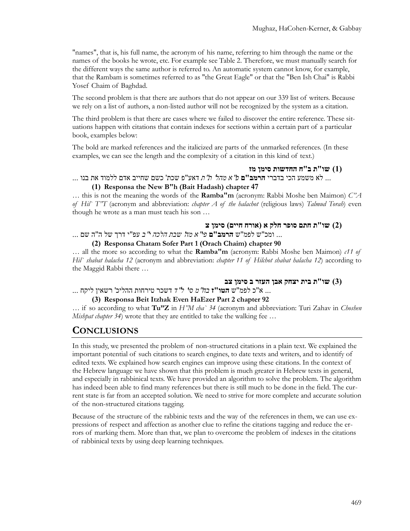"names", that is, his full name, the acronym of his name, referring to him through the name or the names of the books he wrote, etc. For example see Table 2. Therefore, we must manually search for the different ways the same author is referred to. An automatic system cannot know, for example, that the Rambam is sometimes referred to as "the Great Eagle" or that the "Ben Ish Chai" is Rabbi Yosef Chaim of Baghdad.

The second problem is that there are authors that do not appear on our 339 list of writers. Because we rely on a list of authors, a non-listed author will not be recognized by the system as a citation.

The third problem is that there are cases where we failed to discover the entire reference. These situations happen with citations that contain indexes for sections within a certain part of a particular book, examples below:

The bold are marked references and the italicized are parts of the unmarked references. (In these examples, we can see the length and the complexity of a citation in this kind of text.)

**(1) שו"ת ב"ח החדשות סימן מז**

... לא משמע הכי בדברי **הרמב"ם** *פ*"*א מהל*' *ת*"*ת* דאע"פ שכת' כשם שחייב אדם ללמוד את בנו ...

### **(1) Responsa the New B"h (Bait Hadash) chapter 47**

… this is not the meaning the words of the **Ramba"m** (acronym: Rabbi Moshe ben Maimon) *C"A of Hil` T"T* (acronym and abbreviation: *chapter A of the halachot* (religious laws) *Talmud Torah*) even though he wrote as a man must teach his son …

#### **(2) שו"ת חתם סופר חלק א (אורח חיים) סימן צ**

... ומכ"ש לפמ"ש **הרמב"ם** *פי*"*א מה*' *שבת הלכה י*"*ב* עפ"י דרך של ה"ה שם ...

**(2) Responsa Chatam Sofer Part 1 (Orach Chaim) chapter 90**

… all the more so according to what the **Ramba"m** (acronym: Rabbi Moshe ben Maimon) *c11 of Hil` shabat halacha 12* (acronym and abbreviation: *chapter 11 of Hilchot shabat halacha 12*) according to the Maggid Rabbi there …

#### **(3) שו"ת בית יצחק אבן העזר ב סימן צב**

... א"כ לפמ"ש **הטו"ז** *בח*"*מ סי*' *ל*"*ד* דשכר טירחות ההליכ' רשאין ליקח ...

#### **(3) Responsa Beit Itzhak Even HaEzer Part 2 chapter 92**

… if so according to what **Tu"Z** in *H"M cha` 34* (acronym and abbreviation: Turi Zahav in *Choshen Mishpat chapter 34*) wrote that they are entitled to take the walking fee …

### **CONCLUSIONS**

In this study, we presented the problem of non-structured citations in a plain text. We explained the important potential of such citations to search engines, to date texts and writers, and to identify of edited texts. We explained how search engines can improve using these citations. In the context of the Hebrew language we have shown that this problem is much greater in Hebrew texts in general, and especially in rabbinical texts. We have provided an algorithm to solve the problem. The algorithm has indeed been able to find many references but there is still much to be done in the field. The current state is far from an accepted solution. We need to strive for more complete and accurate solution of the non-structured citations tagging.

Because of the structure of the rabbinic texts and the way of the references in them, we can use expressions of respect and affection as another clue to refine the citations tagging and reduce the errors of marking them. More than that, we plan to overcome the problem of indexes in the citations of rabbinical texts by using deep learning techniques.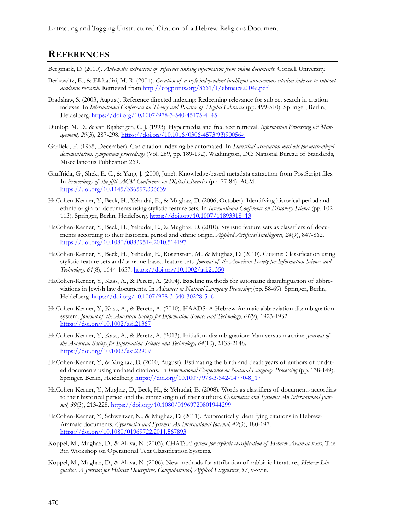### **REFERENCES**

Bergmark, D. (2000). *Automatic extraction of reference linking information from online documents*. Cornell University.

- Berkowitz, E., & Elkhadiri, M. R. (2004). *Creation of a style independent intelligent autonomous citation indexer to support academic research*. Retrieved from h[ttp://cogprints.org/3661/1/ebmaics2004a.pdf](http://cogprints.org/3661/1/ebmaics2004a.pdf)
- Bradshaw, S. (2003, August). Reference directed indexing: Redeeming relevance for subject search in citation indexes. In *International Conference on Theory and Practice of Digital Libraries* (pp. 499-510). Springer, Berlin, Heidelberg. [https://doi.org/10.1007/978](https://doi.org/10.1007/978-3-540-45175-4_45)-3-540-45175-4\_45
- Dunlop, M. D., & van Rijsbergen, C. J. (1993). Hypermedia and free text retrieval. *Information Processing & Management, 29*(3), 287-298. [https://doi.org/10.1016/0306](https://doi.org/10.1016/0306-4573(93)90056-j)-4573(93)90056-j
- Garfield, E. (1965, December). Can citation indexing be automated. In *Statistical association methods for mechanized documentation, symposium proceedings* (Vol. 269, pp. 189-192). Washington, DC: National Bureau of Standards, Miscellaneous Publication 269.
- Giuffrida, G., Shek, E. C., & Yang, J. (2000, June). Knowledge-based metadata extraction from PostScript files. In *Proceedings of the fifth ACM Conference on Digital Libraries* (pp. 77-84). ACM. <https://doi.org/10.1145/336597.336639>
- HaCohen-Kerner, Y., Beck, H., Yehudai, E., & Mughaz, D. (2006, October). Identifying historical period and ethnic origin of documents using stylistic feature sets. In *International Conference on Discovery Science* (pp. 102- 113). Springer, Berlin, Heidelberg. [https://doi.org/10.1007/1189331](https://doi.org/10.1007/11893318_13)8\_13
- HaCohen-Kerner, Y., Beck, H., Yehudai, E., & Mughaz, D. (2010). Stylistic feature sets as classifiers of documents according to their historical period and ethnic origin. *Applied Artificial Intelligence, 24*(9), 847-862. <https://doi.org/10.1080/08839514.2010.514197>
- HaCohen-Kerner, Y., Beck, H., Yehudai, E., Rosenstein, M., & Mughaz, D. (2010). Cuisine: Classification using stylistic feature sets and/or name-based feature sets. *Journal of the American Society for Information Science and Technology, 61*(8), 1644-1657. <https://doi.org/10.1002/asi.21350>
- HaCohen-Kerner, Y., Kass, A., & Peretz, A. (2004). Baseline methods for automatic disambiguation of abbreviations in Jewish law documents. In *Advances in Natural Language Processing* (pp. 58-69). Springer, Berlin, Heidelberg. [https://doi.org/10.1007/978](https://doi.org/10.1007/978-3-540-30228-5_6)-3-540-30228-5\_6
- HaCohen‐Kerner, Y., Kass, A., & Peretz, A. (2010). HAADS: A Hebrew Aramaic abbreviation disambiguation system. *Journal of the American Society for Information Science and Technology, 61*(9), 1923-1932. <https://doi.org/10.1002/asi.21367>
- HaCohen-Kerner, Y., Kass, A., & Peretz, A. (2013). Initialism disambiguation: Man versus machine. *Journal of the American Society for Information Science and Technology, 64*(10), 2133-2148. <https://doi.org/10.1002/asi.22909>
- HaCohen-Kerner, Y., & Mughaz, D. (2010, August). Estimating the birth and death years of authors of undated documents using undated citations. In *International Conference on Natural Language Processing* (pp. 138-149). Springer, Berlin, Heidelberg. [https://doi.org/10.1007/978](https://doi.org/10.1007/978-3-642-14770-8_17)-3-642-14770-8\_17
- HaCohen-Kerner, Y., Mughaz, D., Beck, H., & Yehudai, E. (2008). Words as classifiers of documents according to their historical period and the ethnic origin of their authors. *Cybernetics and Systems: An International Journal, 39*(3), 213-228. <https://doi.org/10.1080/01969720801944299>
- HaCohen-Kerner, Y., Schweitzer, N., & Mughaz, D. (2011). Automatically identifying citations in Hebrew-Aramaic documents. *Cybernetics and Systems: An International Journal, 42*(3), 180-197. <https://doi.org/10.1080/01969722.2011.567893>
- Koppel, M., Mughaz, D., & Akiva, N. (2003). CHAT: *A system for stylistic classification of Hebrew-Aramaic texts*, The 3th Workshop on Operational Text Classification Systems.
- Koppel, M., Mughaz, D., & Akiva, N. (2006). New methods for attribution of rabbinic literature., *Hebrew Linguistics, A Journal for Hebrew Descriptive, Computational, Applied Linguistics*, *57*, v-xviii.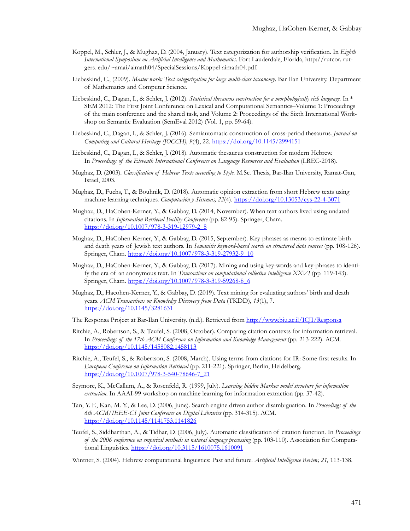- Koppel, M., Schler, J., & Mughaz, D. (2004, January). Text categorization for authorship verification. In *Eighth International Symposium on Artificial Intelligence and Mathematics*. Fort Lauderdale, Florida, http://rutcor. rutgers. edu/~amai/aimath04/SpecialSessions/Koppel-aimath04.pdf.
- Liebeskind, C., (2009). *Master work: Text categorization for large multi-class taxonomy*. Bar Ilan University. Department of Mathematics and Computer Science.
- Liebeskind, C., Dagan, I., & Schler, J. (2012). *Statistical thesaurus construction for a morphologically rich language.* In \* SEM 2012: The First Joint Conference on Lexical and Computational Semantics–Volume 1: Proceedings of the main conference and the shared task, and Volume 2: Proceedings of the Sixth International Workshop on Semantic Evaluation (SemEval 2012) (Vol. 1, pp. 59-64).
- Liebeskind, C., Dagan, I., & Schler, J. (2016). Semiautomatic construction of cross-period thesaurus. *Journal on Computing and Cultural Heritage (JOCCH), 9*(4), 22. ht[tps://doi.org/10.1145/2994151](https://doi.org/10.1145/2994151)
- Liebeskind, C., Dagan, I., & Schler, J. (2018). Automatic thesaurus construction for modern Hebrew. In *Proceedings of the Eleventh International Conference on Language Resources and Evaluation* (LREC-2018).
- Mughaz, D. (2003). *Classification of Hebrew Texts according to Style*. M.Sc. Thesis, Bar-Ilan University, Ramat-Gan, Israel, 2003.
- Mughaz, D., Fuchs, T., & Bouhnik, D. (2018). Automatic opinion extraction from short Hebrew texts using machine learning techniques. *Computación y Sistemas, 22*(4). [https://doi.org/10.13053/cys](https://doi.org/10.13053/cys-22-4-3071)-22-4-3071
- Mughaz, D., HaCohen-Kerner, Y., & Gabbay, D. (2014, November). When text authors lived using undated citations. In *Information Retrieval Facility Conference* (pp. 82-95). Springer, Cham. [https://doi.org/10.1007/978](https://doi.org/10.1007/978-3-319-12979-2_8)-3-319-12979-2\_8
- Mughaz, D., HaCohen-Kerner, Y., & Gabbay, D. (2015, September). Key-phrases as means to estimate birth and death years of Jewish text authors. In *Semanitic keyword-based search on structured data sources* (pp. 108-126). Springer, Cham. [https://doi.org/10.1007/978](https://doi.org/10.1007/978-3-319-27932-9_10)-3-319-27932-9\_10
- Mughaz, D., HaCohen-Kerner, Y., & Gabbay, D. (2017). Mining and using key-words and key-phrases to identify the era of an anonymous text. In *Transactions on computational collective intelligence XXVI* (pp. 119-143). Springer, Cham. [https://doi.org/10.1007/978](https://doi.org/10.1007/978-3-319-59268-8_6)-3-319-59268-8\_6
- Mughaz, D., Hacohen-Kerner, Y., & Gabbay, D. (2019). Text mining for evaluating authors' birth and death years. *ACM Transactions on Knowledge Discovery from Dat*a (TKDD), *13*(1), 7. <https://doi.org/10.1145/3281631>
- The Responsa Project at Bar-Ilan University. (n.d.). Retrieved from <http://www.biu.ac.il/ICJI/Responsa>
- Ritchie, A., Robertson, S., & Teufel, S. (2008, October). Comparing citation contexts for information retrieval. In *Proceedings of the 17th ACM Conference on Information and Knowledge Management* (pp. 213-222). ACM. <https://doi.org/10.1145/1458082.1458113>
- Ritchie, A., Teufel, S., & Robertson, S. (2008, March). Using terms from citations for IR: Some first results. In *European Conference on Information Retrieval* (pp. 211-221). Springer, Berlin, Heidelberg. [https://doi.org/10.1007/978](https://doi.org/10.1007/978-3-540-78646-7_21)-3-540-78646-7\_21
- Seymore, K., McCallum, A., & Rosenfeld, R. (1999, July). *Learning hidden Markov model structure for information extraction*. In AAAI-99 workshop on machine learning for information extraction (pp. 37-42).
- Tan, Y. F., Kan, M. Y., & Lee, D. (2006, June). Search engine driven author disambiguation. In *Proceedings of the 6th ACM/IEEE-CS Joint Conference on Digital Libraries* (pp. 314-315). ACM. <https://doi.org/10.1145/1141753.1141826>
- Teufel, S., Siddharthan, A., & Tidhar, D. (2006, July). Automatic classification of citation function. In *Proceedings of the 2006 conference on empirical methods in natural language processing* (pp. 103-110). Association for Computational Linguistics. <https://doi.org/10.3115/1610075.1610091>

Wintner, S. (2004). Hebrew computational linguistics: Past and future. *Artificial Intelligence Review, 21,* 113-138.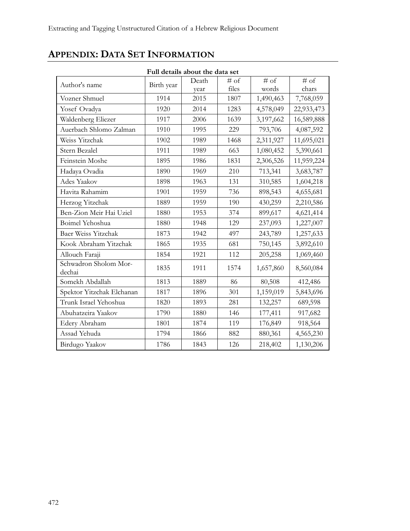# **APPENDIX: DATA SET INFORMATION**

| Full details about the data set |            |       |        |           |                        |  |
|---------------------------------|------------|-------|--------|-----------|------------------------|--|
| Author's name                   | Birth year | Death | $#$ of | $#$ of    | $\overline{\sharp}$ of |  |
|                                 |            | year  | files  | words     | chars                  |  |
| Vozner Shmuel                   | 1914       | 2015  | 1807   | 1,490,463 | 7,768,059              |  |
| Yosef Ovadya                    | 1920       | 2014  | 1283   | 4,578,049 | 22,933,473             |  |
| Waldenberg Eliezer              | 1917       | 2006  | 1639   | 3,197,662 | 16,589,888             |  |
| Auerbach Shlomo Zalman          | 1910       | 1995  | 229    | 793,706   | 4,087,592              |  |
| Weiss Yitzchak                  | 1902       | 1989  | 1468   | 2,311,927 | 11,695,021             |  |
| Stern Bezalel                   | 1911       | 1989  | 663    | 1,080,452 | 5,390,661              |  |
| Feinstein Moshe                 | 1895       | 1986  | 1831   | 2,306,526 | 11,959,224             |  |
| Hadaya Ovadia                   | 1890       | 1969  | 210    | 713,341   | 3,683,787              |  |
| Ades Yaakov                     | 1898       | 1963  | 131    | 310,585   | 1,604,218              |  |
| Havita Rahamim                  | 1901       | 1959  | 736    | 898,543   | 4,655,681              |  |
| Herzog Yitzchak                 | 1889       | 1959  | 190    | 430,259   | 2,210,586              |  |
| Ben-Zion Meir Hai Uziel         | 1880       | 1953  | 374    | 899,617   | 4,621,414              |  |
| Boimel Yehoshua                 | 1880       | 1948  | 129    | 237,093   | 1,227,007              |  |
| Baer Weiss Yitzchak             | 1873       | 1942  | 497    | 243,789   | 1,257,633              |  |
| Kook Abraham Yitzchak           | 1865       | 1935  | 681    | 750,145   | 3,892,610              |  |
| Allouch Faraji                  | 1854       | 1921  | 112    | 205,258   | 1,069,460              |  |
| Schwadron Sholom Mor-<br>dechai | 1835       | 1911  | 1574   | 1,657,860 | 8,560,084              |  |
| Somekh Abdallah                 | 1813       | 1889  | 86     | 80,508    | 412,486                |  |
| Spektor Yitzchak Elchanan       | 1817       | 1896  | 301    | 1,159,019 | 5,843,696              |  |
| Trunk Israel Yehoshua           | 1820       | 1893  | 281    | 132,257   | 689,598                |  |
| Abuhatzeira Yaakov              | 1790       | 1880  | 146    | 177,411   | 917,682                |  |
| Edery Abraham                   | 1801       | 1874  | 119    | 176,849   | 918,564                |  |
| Assad Yehuda                    | 1794       | 1866  | 882    | 880,361   | 4,565,230              |  |
| Birdugo Yaakov                  | 1786       | 1843  | 126    | 218,402   | 1,130,206              |  |